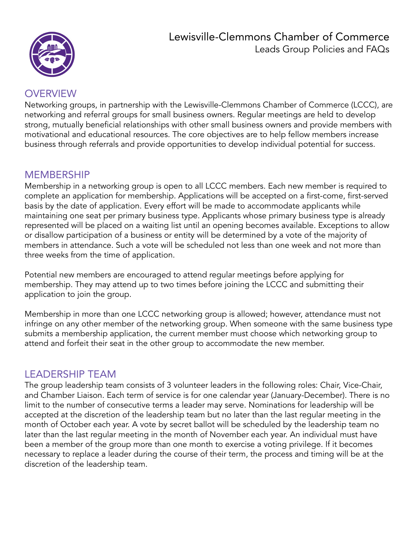

### OVERVIEW

Networking groups, in partnership with the Lewisville-Clemmons Chamber of Commerce (LCCC), are networking and referral groups for small business owners. Regular meetings are held to develop strong, mutually beneficial relationships with other small business owners and provide members with motivational and educational resources. The core objectives are to help fellow members increase business through referrals and provide opportunities to develop individual potential for success.

### MEMBERSHIP

Membership in a networking group is open to all LCCC members. Each new member is required to complete an application for membership. Applications will be accepted on a first-come, first-served basis by the date of application. Every effort will be made to accommodate applicants while maintaining one seat per primary business type. Applicants whose primary business type is already represented will be placed on a waiting list until an opening becomes available. Exceptions to allow or disallow participation of a business or entity will be determined by a vote of the majority of members in attendance. Such a vote will be scheduled not less than one week and not more than three weeks from the time of application.

Potential new members are encouraged to attend regular meetings before applying for membership. They may attend up to two times before joining the LCCC and submitting their application to join the group.

Membership in more than one LCCC networking group is allowed; however, attendance must not infringe on any other member of the networking group. When someone with the same business type submits a membership application, the current member must choose which networking group to attend and forfeit their seat in the other group to accommodate the new member.

### LEADERSHIP TEAM

The group leadership team consists of 3 volunteer leaders in the following roles: Chair, Vice-Chair, and Chamber Liaison. Each term of service is for one calendar year (January-December). There is no limit to the number of consecutive terms a leader may serve. Nominations for leadership will be accepted at the discretion of the leadership team but no later than the last regular meeting in the month of October each year. A vote by secret ballot will be scheduled by the leadership team no later than the last regular meeting in the month of November each year. An individual must have been a member of the group more than one month to exercise a voting privilege. If it becomes necessary to replace a leader during the course of their term, the process and timing will be at the discretion of the leadership team.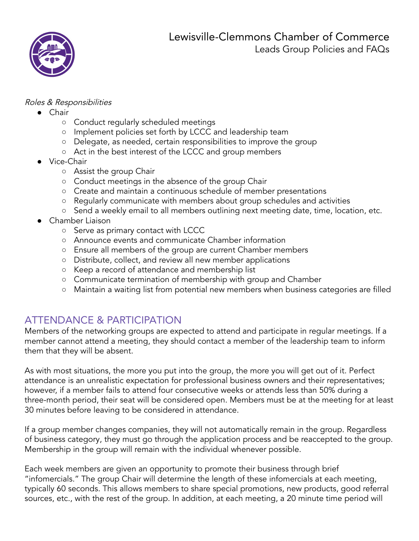

#### Roles & Responsibilities

- Chair
	- Conduct regularly scheduled meetings
	- Implement policies set forth by LCCC and leadership team
	- Delegate, as needed, certain responsibilities to improve the group
	- Act in the best interest of the LCCC and group members
- Vice-Chair
	- Assist the group Chair
	- Conduct meetings in the absence of the group Chair
	- Create and maintain a continuous schedule of member presentations
	- Regularly communicate with members about group schedules and activities
	- Send a weekly email to all members outlining next meeting date, time, location, etc.
- Chamber Liaison
	- Serve as primary contact with LCCC
	- Announce events and communicate Chamber information
	- Ensure all members of the group are current Chamber members
	- Distribute, collect, and review all new member applications
	- Keep a record of attendance and membership list
	- Communicate termination of membership with group and Chamber
	- **○** Maintain a waiting list from potential new members when business categories are filled

# ATTENDANCE & PARTICIPATION

Members of the networking groups are expected to attend and participate in regular meetings. If a member cannot attend a meeting, they should contact a member of the leadership team to inform them that they will be absent.

As with most situations, the more you put into the group, the more you will get out of it. Perfect attendance is an unrealistic expectation for professional business owners and their representatives; however, if a member fails to attend four consecutive weeks or attends less than 50% during a three-month period, their seat will be considered open. Members must be at the meeting for at least 30 minutes before leaving to be considered in attendance.

If a group member changes companies, they will not automatically remain in the group. Regardless of business category, they must go through the application process and be reaccepted to the group. Membership in the group will remain with the individual whenever possible.

Each week members are given an opportunity to promote their business through brief "infomercials." The group Chair will determine the length of these infomercials at each meeting, typically 60 seconds. This allows members to share special promotions, new products, good referral sources, etc., with the rest of the group. In addition, at each meeting, a 20 minute time period will